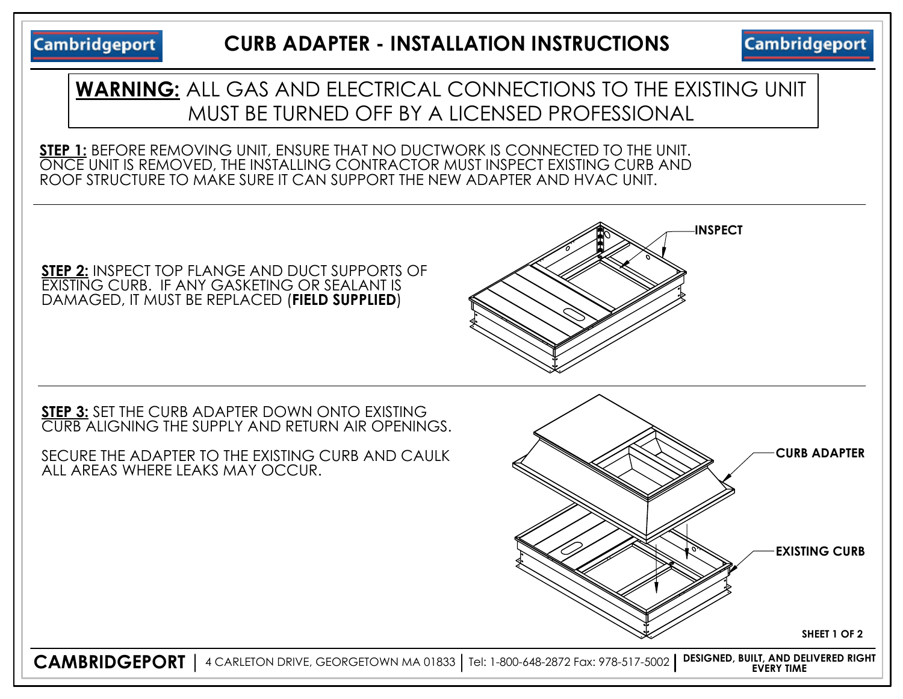**Cambridgeport** 

**Cambridgeport** 



ROOF STRUCTURE TO MAKE SURE IT CAN SUPPORT THE NEW ADAPTER AND HVAC UNIT.

**STEP 2:** INSPECT TOP FLANGE AND DUCT SUPPORTS OF EXISTING CURB. IF ANY GASKETING OR SEALANT IS DAMAGED, IT MUST BE REPLACED (**FIELD SUPPLIED**)

**STEP 3:** SET THE CURB ADAPTER DOWN ONTO EXISTING CURB ALIGNING THE SUPPLY AND RETURN AIR OPENINGS.

SECURE THE ADAPTER TO THE EXISTING CURB AND CAULK ALL AREAS WHERE LEAKS MAY OCCUR.



**INSPECT**

**CAMBRIDGEPORT** 4 CARLETON DRIVE, GEORGETOWN MA 01833 Tel: 1-800-648-2872 Fax: 978-517-5002 **DESIGNED, BUILT, AND DELIVERED RIGHT EVERY TIME**